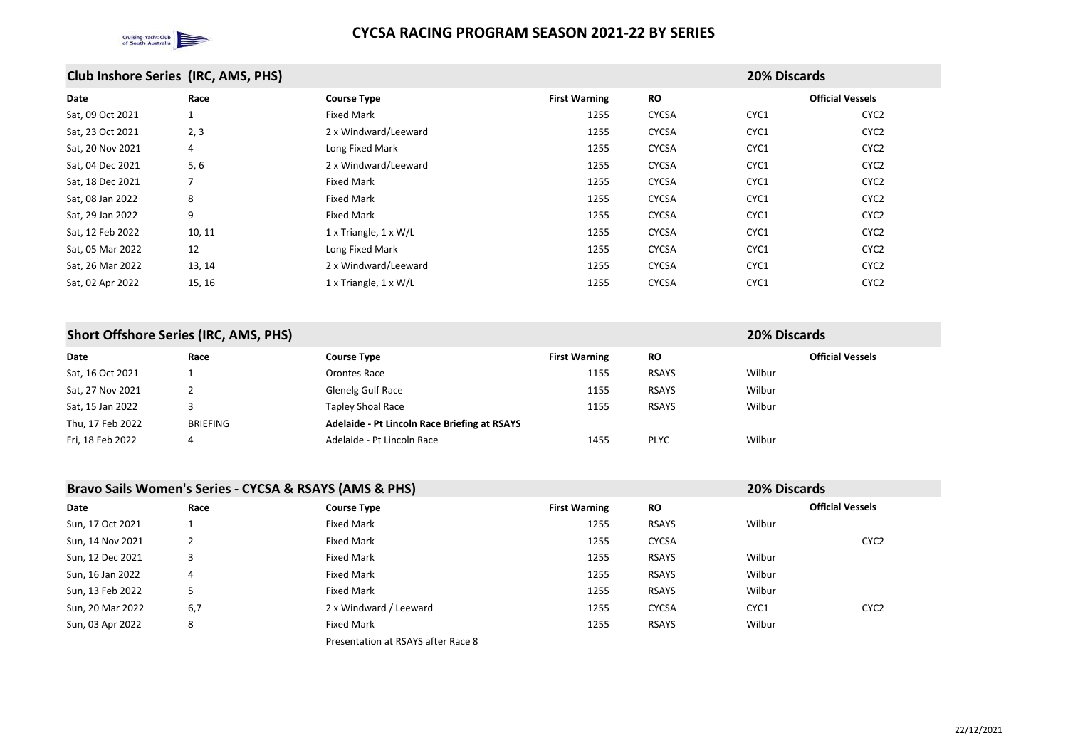

| <b>Club Inshore Series (IRC, AMS, PHS)</b> | <b>20% Discards</b> |
|--------------------------------------------|---------------------|
|--------------------------------------------|---------------------|

| Date             | Race   | <b>Course Type</b>                  | <b>First Warning</b> | <b>RO</b>    |      | <b>Official Vessels</b> |
|------------------|--------|-------------------------------------|----------------------|--------------|------|-------------------------|
| Sat, 09 Oct 2021 |        | <b>Fixed Mark</b>                   | 1255                 | <b>CYCSA</b> | CYC1 | CYC <sub>2</sub>        |
| Sat, 23 Oct 2021 | 2, 3   | 2 x Windward/Leeward                | 1255                 | <b>CYCSA</b> | CYC1 | CYC <sub>2</sub>        |
| Sat, 20 Nov 2021 | 4      | Long Fixed Mark                     | 1255                 | <b>CYCSA</b> | CYC1 | CYC <sub>2</sub>        |
| Sat, 04 Dec 2021 | $5,6$  | 2 x Windward/Leeward                | 1255                 | <b>CYCSA</b> | CYC1 | CYC <sub>2</sub>        |
| Sat, 18 Dec 2021 |        | <b>Fixed Mark</b>                   | 1255                 | <b>CYCSA</b> | CYC1 | CYC <sub>2</sub>        |
| Sat, 08 Jan 2022 | 8      | <b>Fixed Mark</b>                   | 1255                 | <b>CYCSA</b> | CYC1 | CYC <sub>2</sub>        |
| Sat, 29 Jan 2022 | 9      | <b>Fixed Mark</b>                   | 1255                 | <b>CYCSA</b> | CYC1 | CYC <sub>2</sub>        |
| Sat, 12 Feb 2022 | 10, 11 | $1 \times$ Triangle, $1 \times W/L$ | 1255                 | <b>CYCSA</b> | CYC1 | CYC <sub>2</sub>        |
| Sat, 05 Mar 2022 | 12     | Long Fixed Mark                     | 1255                 | <b>CYCSA</b> | CYC1 | CYC <sub>2</sub>        |
| Sat, 26 Mar 2022 | 13, 14 | 2 x Windward/Leeward                | 1255                 | <b>CYCSA</b> | CYC1 | CYC <sub>2</sub>        |
| Sat, 02 Apr 2022 | 15, 16 | $1 \times$ Triangle, $1 \times W/L$ | 1255                 | <b>CYCSA</b> | CYC1 | CYC <sub>2</sub>        |
|                  |        |                                     |                      |              |      |                         |

## **Short Offshore Series (IRC, AMS, PHS) 20% Discards**

| <b>Date</b>      | Race            | <b>Course Type</b>                                  | <b>First Warning</b> | <b>RO</b>    |        |
|------------------|-----------------|-----------------------------------------------------|----------------------|--------------|--------|
| Sat, 16 Oct 2021 |                 | Orontes Race                                        | 1155                 | <b>RSAYS</b> | Wilbur |
| Sat, 27 Nov 2021 |                 | <b>Glenelg Gulf Race</b>                            | 1155                 | <b>RSAYS</b> | Wilbur |
| Sat, 15 Jan 2022 |                 | <b>Tapley Shoal Race</b>                            | 1155                 | <b>RSAYS</b> | Wilbur |
| Thu, 17 Feb 2022 | <b>BRIEFING</b> | <b>Adelaide - Pt Lincoln Race Briefing at RSAYS</b> |                      |              |        |
| Fri, 18 Feb 2022 | 4               | Adelaide - Pt Lincoln Race                          | 1455                 | <b>PLYC</b>  | Wilbur |

| Bravo Sails Women's Series - CYCSA & RSAYS (AMS & PHS) | <b>20% Discards</b> |
|--------------------------------------------------------|---------------------|
|--------------------------------------------------------|---------------------|

|                  |      | $\bullet$                          |                      |              |        |                         |
|------------------|------|------------------------------------|----------------------|--------------|--------|-------------------------|
| Date             | Race | <b>Course Type</b>                 | <b>First Warning</b> | <b>RO</b>    |        | <b>Official Vessels</b> |
| Sun, 17 Oct 2021 |      | <b>Fixed Mark</b>                  | 1255                 | <b>RSAYS</b> | Wilbur |                         |
| Sun, 14 Nov 2021 |      | <b>Fixed Mark</b>                  | 1255                 | <b>CYCSA</b> |        | CYC <sub>2</sub>        |
| Sun, 12 Dec 2021 | 3    | <b>Fixed Mark</b>                  | 1255                 | <b>RSAYS</b> | Wilbur |                         |
| Sun, 16 Jan 2022 | 4    | <b>Fixed Mark</b>                  | 1255                 | <b>RSAYS</b> | Wilbur |                         |
| Sun, 13 Feb 2022 | 5    | <b>Fixed Mark</b>                  | 1255                 | <b>RSAYS</b> | Wilbur |                         |
| Sun, 20 Mar 2022 | 6,7  | 2 x Windward / Leeward             | 1255                 | <b>CYCSA</b> | CYC1   | CYC <sub>2</sub>        |
| Sun, 03 Apr 2022 | 8    | <b>Fixed Mark</b>                  | 1255                 | <b>RSAYS</b> | Wilbur |                         |
|                  |      | Presentation at RSAYS after Race 8 |                      |              |        |                         |

### **Official Vessels**

| CYC <sub>2</sub> |
|------------------|
| CYC <sub>2</sub> |
| CYC <sub>2</sub> |
| CYC <sub>2</sub> |
| CYC <sub>2</sub> |
| CYC <sub>2</sub> |
| CYC <sub>2</sub> |
| CYC <sub>2</sub> |
| CYC <sub>2</sub> |
| CYC <sub>2</sub> |
| CYC <sub>2</sub> |

**Official Vessels**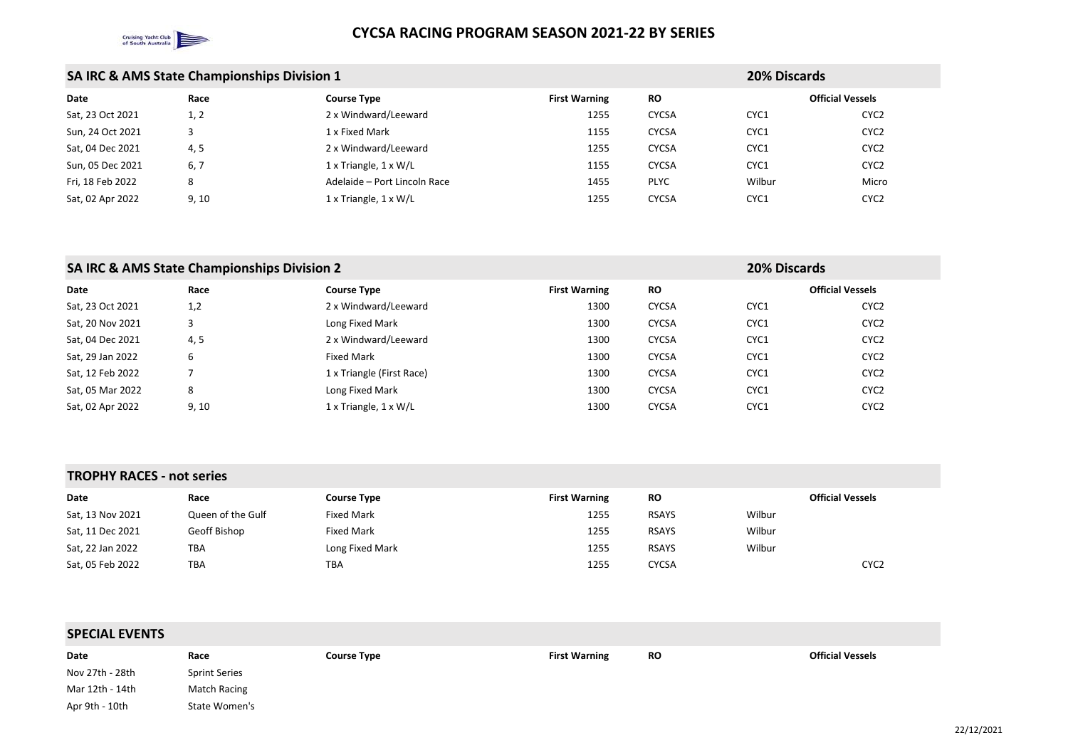

|                  | <b>SA IRC &amp; AMS State Championships Division 1</b> |                                     |                      | <b>20% Discards</b> |                         |                  |
|------------------|--------------------------------------------------------|-------------------------------------|----------------------|---------------------|-------------------------|------------------|
| Date             | Race                                                   | <b>Course Type</b>                  | <b>First Warning</b> | <b>RO</b>           | <b>Official Vessels</b> |                  |
| Sat, 23 Oct 2021 | 1, 2                                                   | 2 x Windward/Leeward                | 1255                 | <b>CYCSA</b>        | CYC1                    | CYC <sub>2</sub> |
| Sun, 24 Oct 2021 |                                                        | 1 x Fixed Mark                      | 1155                 | <b>CYCSA</b>        | CYC1                    | CYC <sub>2</sub> |
| Sat, 04 Dec 2021 | 4, 5                                                   | 2 x Windward/Leeward                | 1255                 | <b>CYCSA</b>        | CYC1                    | CYC <sub>2</sub> |
| Sun, 05 Dec 2021 | 6,7                                                    | $1 \times$ Triangle, $1 \times W/L$ | 1155                 | <b>CYCSA</b>        | CYC1                    | CYC <sub>2</sub> |
| Fri, 18 Feb 2022 | 8                                                      | Adelaide - Port Lincoln Race        | 1455                 | <b>PLYC</b>         | Wilbur                  | Micro            |
| Sat, 02 Apr 2022 | 9, 10                                                  | $1 \times$ Triangle, $1 \times W/L$ | 1255                 | <b>CYCSA</b>        | CYC1                    | CYC <sub>2</sub> |

# **SA IRC & AMS State Championships Division 2 20% Discards**

| Date             | Race  | <b>Course Type</b>                  | <b>First Warning</b> | <b>RO</b>    |      | <b>Official Vessels</b> |
|------------------|-------|-------------------------------------|----------------------|--------------|------|-------------------------|
| Sat, 23 Oct 2021 | 1,2   | 2 x Windward/Leeward                | 1300                 | <b>CYCSA</b> | CYC1 | CYC <sub>2</sub>        |
| Sat, 20 Nov 2021 |       | Long Fixed Mark                     | 1300                 | <b>CYCSA</b> | CYC1 | CYC <sub>2</sub>        |
| Sat, 04 Dec 2021 | 4, 5  | 2 x Windward/Leeward                | 1300                 | <b>CYCSA</b> | CYC1 | CYC <sub>2</sub>        |
| Sat, 29 Jan 2022 | b     | <b>Fixed Mark</b>                   | 1300                 | <b>CYCSA</b> | CYC1 | CYC <sub>2</sub>        |
| Sat, 12 Feb 2022 |       | 1 x Triangle (First Race)           | 1300                 | <b>CYCSA</b> | CYC1 | CYC <sub>2</sub>        |
| Sat, 05 Mar 2022 | 8     | Long Fixed Mark                     | 1300                 | <b>CYCSA</b> | CYC1 | CYC <sub>2</sub>        |
| Sat, 02 Apr 2022 | 9, 10 | $1 \times$ Triangle, $1 \times W/L$ | 1300                 | <b>CYCSA</b> | CYC1 | CYC <sub>2</sub>        |

### **TROPHY RACES - not series**

| Date             | Race              | <b>Course Type</b> | <b>First Warning</b> | <b>RO</b>    | <b>Official Vessels</b> |
|------------------|-------------------|--------------------|----------------------|--------------|-------------------------|
| Sat, 13 Nov 2021 | Queen of the Gulf | <b>Fixed Mark</b>  | 1255                 | <b>RSAYS</b> | Wilbur                  |
| Sat, 11 Dec 2021 | Geoff Bishop      | <b>Fixed Mark</b>  | 1255                 | <b>RSAYS</b> | Wilbur                  |
| Sat, 22 Jan 2022 | TBA               | Long Fixed Mark    | 1255                 | <b>RSAYS</b> | Wilbur                  |
| Sat, 05 Feb 2022 | TBA               | TBA                | 1255                 | <b>CYCSA</b> | CYC <sub>2</sub>        |

| <b>SPECIAL EVENTS</b> |                      |                    |                                   |  |  |
|-----------------------|----------------------|--------------------|-----------------------------------|--|--|
| Date                  | Race                 | <b>Course Type</b> | <b>RO</b><br><b>First Warning</b> |  |  |
| Nov 27th - 28th       | <b>Sprint Series</b> |                    |                                   |  |  |
| Mar 12th - 14th       | Match Racing         |                    |                                   |  |  |
| Apr 9th - 10th        | State Women's        |                    |                                   |  |  |

### **Official Vessels**

| CYC2             |
|------------------|
| CYC2             |
| CYC <sub>2</sub> |
| CYC <sub>2</sub> |
| Micro            |
| CYC <sub>2</sub> |

**Official Vessels**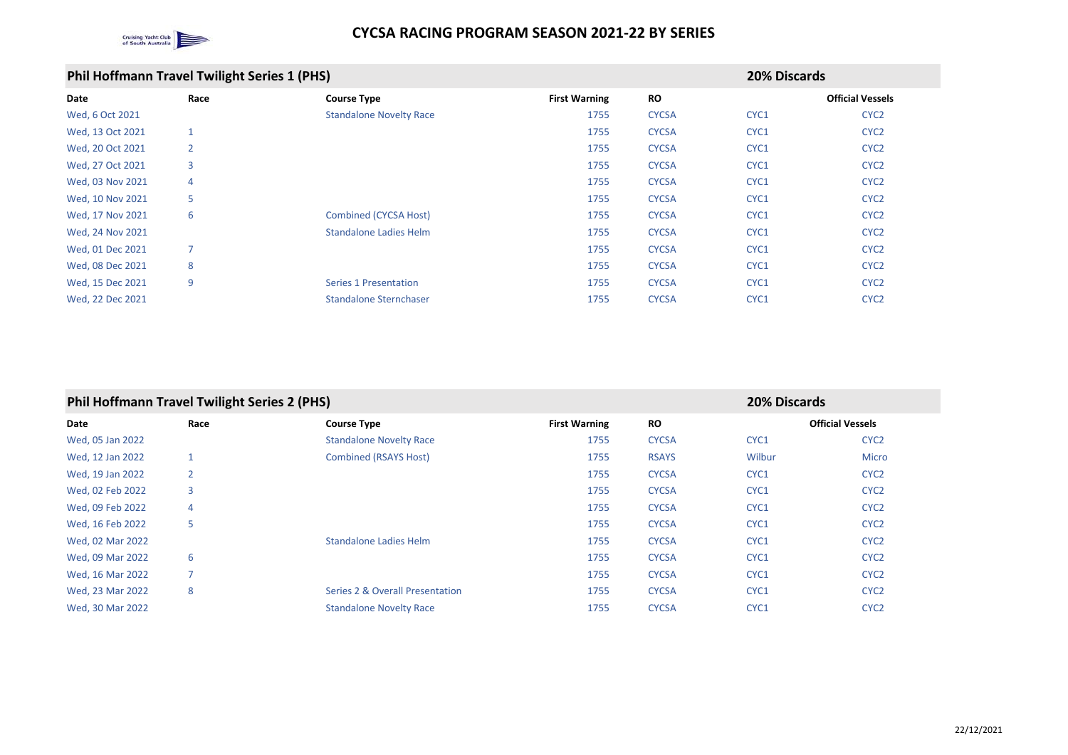

## **Phil Hoffmann Travel Twilight Series 1 (PHS) 20% Discards**

| Date             | Race           | <b>Course Type</b>             | <b>First Warning</b> | <b>RO</b>    |      | <b>Official Vesse</b> |
|------------------|----------------|--------------------------------|----------------------|--------------|------|-----------------------|
| Wed, 6 Oct 2021  |                | <b>Standalone Novelty Race</b> | 1755                 | <b>CYCSA</b> | CYC1 | CYC <sub>2</sub>      |
| Wed, 13 Oct 2021 |                |                                | 1755                 | <b>CYCSA</b> | CYC1 | CYC <sub>2</sub>      |
| Wed, 20 Oct 2021 | $\overline{2}$ |                                | 1755                 | <b>CYCSA</b> | CYC1 | CYC <sub>2</sub>      |
| Wed, 27 Oct 2021 | 3              |                                | 1755                 | <b>CYCSA</b> | CYC1 | CYC <sub>2</sub>      |
| Wed, 03 Nov 2021 | 4              |                                | 1755                 | <b>CYCSA</b> | CYC1 | CYC <sub>2</sub>      |
| Wed, 10 Nov 2021 | 5              |                                | 1755                 | <b>CYCSA</b> | CYC1 | CYC <sub>2</sub>      |
| Wed, 17 Nov 2021 | 6              | <b>Combined (CYCSA Host)</b>   | 1755                 | <b>CYCSA</b> | CYC1 | CYC <sub>2</sub>      |
| Wed, 24 Nov 2021 |                | <b>Standalone Ladies Helm</b>  | 1755                 | <b>CYCSA</b> | CYC1 | CYC <sub>2</sub>      |
| Wed, 01 Dec 2021 | 7              |                                | 1755                 | <b>CYCSA</b> | CYC1 | CYC <sub>2</sub>      |
| Wed, 08 Dec 2021 | 8              |                                | 1755                 | <b>CYCSA</b> | CYC1 | CYC <sub>2</sub>      |
| Wed, 15 Dec 2021 | 9              | <b>Series 1 Presentation</b>   | 1755                 | <b>CYCSA</b> | CYC1 | CYC <sub>2</sub>      |
| Wed, 22 Dec 2021 |                | <b>Standalone Sternchaser</b>  | 1755                 | <b>CYCSA</b> | CYC1 | CYC <sub>2</sub>      |

## **Phil Hoffmann Travel Twilight Series 2 (PHS) 20% Discards**

| Date             | Race           | <b>Course Type</b>                         | <b>First Warning</b> | <b>RO</b>    |        | <b>Official Vessels</b> |
|------------------|----------------|--------------------------------------------|----------------------|--------------|--------|-------------------------|
| Wed, 05 Jan 2022 |                | <b>Standalone Novelty Race</b>             | 1755                 | <b>CYCSA</b> | CYC1   | CYC <sub>2</sub>        |
| Wed, 12 Jan 2022 |                | <b>Combined (RSAYS Host)</b>               | 1755                 | <b>RSAYS</b> | Wilbur | <b>Micro</b>            |
| Wed, 19 Jan 2022 | $\overline{2}$ |                                            | 1755                 | <b>CYCSA</b> | CYC1   | CYC <sub>2</sub>        |
| Wed, 02 Feb 2022 | 3              |                                            | 1755                 | <b>CYCSA</b> | CYC1   | CYC <sub>2</sub>        |
| Wed, 09 Feb 2022 | 4              |                                            | 1755                 | <b>CYCSA</b> | CYC1   | CYC <sub>2</sub>        |
| Wed, 16 Feb 2022 | 5              |                                            | 1755                 | <b>CYCSA</b> | CYC1   | CYC <sub>2</sub>        |
| Wed, 02 Mar 2022 |                | <b>Standalone Ladies Helm</b>              | 1755                 | <b>CYCSA</b> | CYC1   | CYC <sub>2</sub>        |
| Wed, 09 Mar 2022 | 6              |                                            | 1755                 | <b>CYCSA</b> | CYC1   | CYC <sub>2</sub>        |
| Wed, 16 Mar 2022 |                |                                            | 1755                 | <b>CYCSA</b> | CYC1   | CYC <sub>2</sub>        |
| Wed, 23 Mar 2022 | 8              | <b>Series 2 &amp; Overall Presentation</b> | 1755                 | <b>CYCSA</b> | CYC1   | CYC <sub>2</sub>        |
| Wed, 30 Mar 2022 |                | <b>Standalone Novelty Race</b>             | 1755                 | <b>CYCSA</b> | CYC1   | CYC <sub>2</sub>        |

### **Official Vessels**

| CYC <sub>2</sub>       |
|------------------------|
| CYC <sub>2</sub>       |
| CYC <sub>2</sub>       |
| CYC <sub>2</sub>       |
| CYC <sub>2</sub>       |
| CYC <sub>2</sub>       |
| CYC <sub>2</sub>       |
| CYC <sub>2</sub>       |
| CYC <sub>2</sub>       |
| CYC <sub>2</sub>       |
| CYC <sub>2</sub>       |
| <b>CVC<sub>2</sub></b> |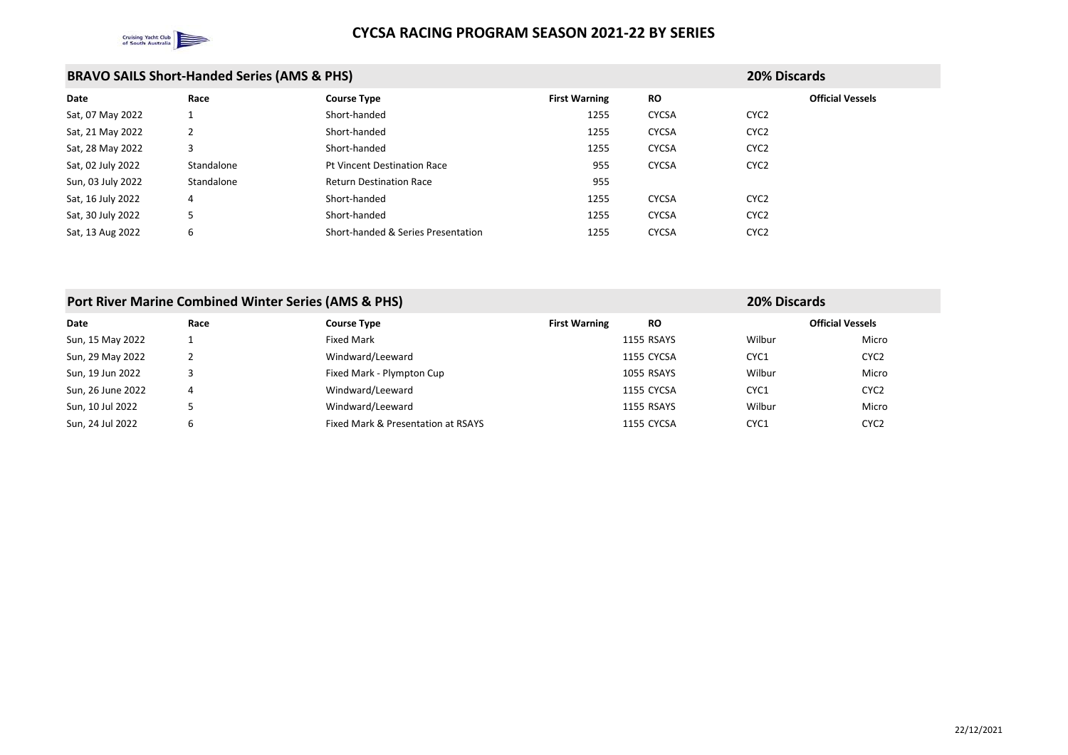

| <b>BRAVO SAILS Short-Handed Series (AMS &amp; PHS)</b> |            |                                    |                      |              | <b>20% Discards</b> |
|--------------------------------------------------------|------------|------------------------------------|----------------------|--------------|---------------------|
| Date                                                   | Race       | <b>Course Type</b>                 | <b>First Warning</b> | <b>RO</b>    | Offi                |
| Sat, 07 May 2022                                       |            | Short-handed                       | 1255                 | <b>CYCSA</b> | CYC <sub>2</sub>    |
| Sat, 21 May 2022                                       | 2          | Short-handed                       | 1255                 | <b>CYCSA</b> | CYC <sub>2</sub>    |
| Sat, 28 May 2022                                       | 3          | Short-handed                       | 1255                 | <b>CYCSA</b> | CYC <sub>2</sub>    |
| Sat, 02 July 2022                                      | Standalone | <b>Pt Vincent Destination Race</b> | 955                  | <b>CYCSA</b> | CYC <sub>2</sub>    |
| Sun, 03 July 2022                                      | Standalone | <b>Return Destination Race</b>     | 955                  |              |                     |
| Sat, 16 July 2022                                      | 4          | Short-handed                       | 1255                 | <b>CYCSA</b> | CYC <sub>2</sub>    |
| Sat, 30 July 2022                                      | 5          | Short-handed                       | 1255                 | <b>CYCSA</b> | CYC <sub>2</sub>    |
| Sat, 13 Aug 2022                                       | 6          | Short-handed & Series Presentation | 1255                 | <b>CYCSA</b> | CYC <sub>2</sub>    |

| Port River Marine Combined Winter Series (AMS & PHS)<br><b>20% Discards</b> |      |                                    |                      |                   |        |                         |
|-----------------------------------------------------------------------------|------|------------------------------------|----------------------|-------------------|--------|-------------------------|
| Date                                                                        | Race | <b>Course Type</b>                 | <b>First Warning</b> | <b>RO</b>         |        | <b>Official Vessels</b> |
| Sun, 15 May 2022                                                            |      | <b>Fixed Mark</b>                  |                      | <b>1155 RSAYS</b> | Wilbur | Micro                   |
| Sun, 29 May 2022                                                            |      | Windward/Leeward                   |                      | 1155 CYCSA        | CYC1   | CYC <sub>2</sub>        |
| Sun, 19 Jun 2022                                                            |      | Fixed Mark - Plympton Cup          |                      | <b>1055 RSAYS</b> | Wilbur | Micro                   |
| Sun, 26 June 2022                                                           | 4    | Windward/Leeward                   |                      | 1155 CYCSA        | CYC1   | CYC <sub>2</sub>        |
| Sun, 10 Jul 2022                                                            |      | Windward/Leeward                   |                      | <b>1155 RSAYS</b> | Wilbur | Micro                   |
| Sun, 24 Jul 2022                                                            | 6    | Fixed Mark & Presentation at RSAYS |                      | 1155 CYCSA        | CYC1   | CYC <sub>2</sub>        |

**Official Vessels**

### **Official Vessels**